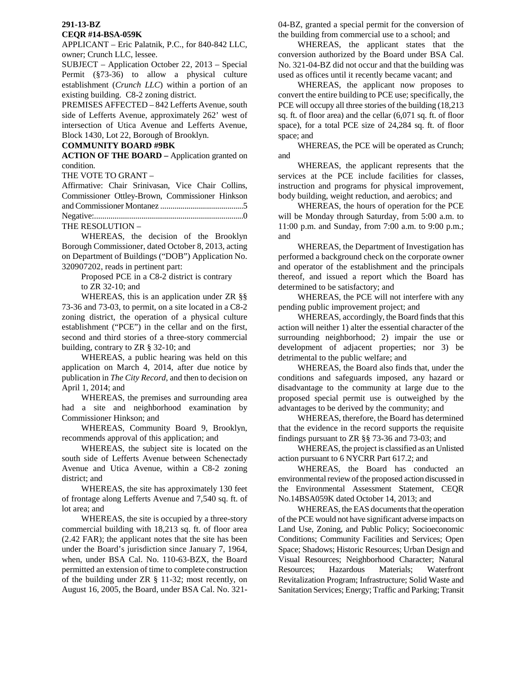# **291-13-BZ**

### **CEQR #14-BSA-059K**

APPLICANT – Eric Palatnik, P.C., for 840-842 LLC, owner; Crunch LLC, lessee.

SUBJECT – Application October 22, 2013 – Special Permit (§73-36) to allow a physical culture establishment (*Crunch LLC*) within a portion of an existing building. C8-2 zoning district.

PREMISES AFFECTED – 842 Lefferts Avenue, south side of Lefferts Avenue, approximately 262' west of intersection of Utica Avenue and Lefferts Avenue, Block 1430, Lot 22, Borough of Brooklyn.

## **COMMUNITY BOARD #9BK**

**ACTION OF THE BOARD –** Application granted on condition.

THE VOTE TO GRANT –

Affirmative: Chair Srinivasan, Vice Chair Collins, Commissioner Ottley-Brown, Commissioner Hinkson and Commissioner Montanez ..........................................5 Negative:...........................................................................0 THE RESOLUTION –

WHEREAS, the decision of the Brooklyn Borough Commissioner, dated October 8, 2013, acting on Department of Buildings ("DOB") Application No. 320907202, reads in pertinent part:

> Proposed PCE in a C8-2 district is contrary to ZR 32-10; and

WHEREAS, this is an application under ZR  $\S$ § 73-36 and 73-03, to permit, on a site located in a C8-2 zoning district, the operation of a physical culture establishment ("PCE") in the cellar and on the first, second and third stories of a three-story commercial building, contrary to ZR § 32-10; and

WHEREAS, a public hearing was held on this application on March 4, 2014, after due notice by publication in *The City Record*, and then to decision on April 1, 2014; and

WHEREAS, the premises and surrounding area had a site and neighborhood examination by Commissioner Hinkson; and

WHEREAS, Community Board 9, Brooklyn, recommends approval of this application; and

WHEREAS, the subject site is located on the south side of Lefferts Avenue between Schenectady Avenue and Utica Avenue, within a C8-2 zoning district; and

WHEREAS, the site has approximately 130 feet of frontage along Lefferts Avenue and 7,540 sq. ft. of lot area; and

WHEREAS, the site is occupied by a three-story commercial building with 18,213 sq. ft. of floor area (2.42 FAR); the applicant notes that the site has been under the Board's jurisdiction since January 7, 1964, when, under BSA Cal. No. 110-63-BZX, the Board permitted an extension of time to complete construction of the building under ZR § 11-32; most recently, on August 16, 2005, the Board, under BSA Cal. No. 32104-BZ, granted a special permit for the conversion of the building from commercial use to a school; and

WHEREAS, the applicant states that the conversion authorized by the Board under BSA Cal. No. 321-04-BZ did not occur and that the building was used as offices until it recently became vacant; and

WHEREAS, the applicant now proposes to convert the entire building to PCE use; specifically, the PCE will occupy all three stories of the building (18,213 sq. ft. of floor area) and the cellar (6,071 sq. ft. of floor space), for a total PCE size of 24,284 sq. ft. of floor space; and

WHEREAS, the PCE will be operated as Crunch; and

WHEREAS, the applicant represents that the services at the PCE include facilities for classes, instruction and programs for physical improvement, body building, weight reduction, and aerobics; and

WHEREAS, the hours of operation for the PCE will be Monday through Saturday, from 5:00 a.m. to 11:00 p.m. and Sunday, from 7:00 a.m. to 9:00 p.m.; and

WHEREAS, the Department of Investigation has performed a background check on the corporate owner and operator of the establishment and the principals thereof, and issued a report which the Board has determined to be satisfactory; and

WHEREAS, the PCE will not interfere with any pending public improvement project; and

WHEREAS, accordingly, the Board finds that this action will neither 1) alter the essential character of the surrounding neighborhood; 2) impair the use or development of adjacent properties; nor 3) be detrimental to the public welfare; and

WHEREAS, the Board also finds that, under the conditions and safeguards imposed, any hazard or disadvantage to the community at large due to the proposed special permit use is outweighed by the advantages to be derived by the community; and

WHEREAS, therefore, the Board has determined that the evidence in the record supports the requisite findings pursuant to ZR §§ 73-36 and 73-03; and

WHEREAS, the project is classified as an Unlisted action pursuant to 6 NYCRR Part 617.2; and

WHEREAS, the Board has conducted an environmental review of the proposed action discussed in the Environmental Assessment Statement, CEQR No.14BSA059K dated October 14, 2013; and

WHEREAS, the EAS documents that the operation of the PCE would not have significant adverse impacts on Land Use, Zoning, and Public Policy; Socioeconomic Conditions; Community Facilities and Services; Open Space; Shadows; Historic Resources; Urban Design and Visual Resources; Neighborhood Character; Natural Resources; Hazardous Materials; Waterfront Revitalization Program; Infrastructure; Solid Waste and Sanitation Services; Energy; Traffic and Parking; Transit